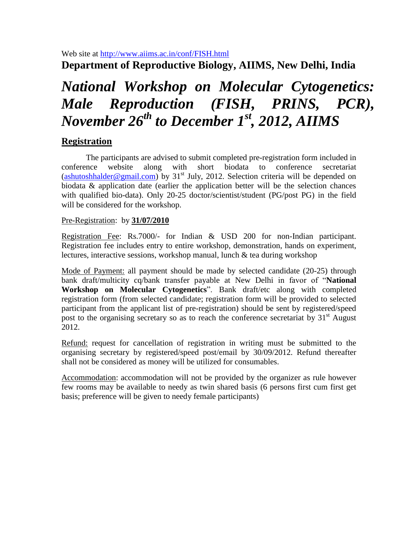Web site at [http://www.aiims.ac.in/conf/FISH.html](http://www.aiims.ac.in/conf/microdeletion.html)

**Department of Reproductive Biology, AIIMS, New Delhi, India**

# *National Workshop on Molecular Cytogenetics: Male Reproduction (FISH, PRINS, PCR), November 26 th to December 1 st, 2012, AIIMS*

# **Registration**

The participants are advised to submit completed pre-registration form included in conference website along with short biodata to conference secretariat [\(ashutoshhalder@gmail.com\)](mailto:ashutoshhalder@gmail.com) by  $31<sup>st</sup>$  July, 2012. Selection criteria will be depended on biodata & application date (earlier the application better will be the selection chances with qualified bio-data). Only 20-25 doctor/scientist/student (PG/post PG) in the field will be considered for the workshop.

## Pre-Registration: by **31/07/2010**

Registration Fee: Rs.7000/- for Indian & USD 200 for non-Indian participant. Registration fee includes entry to entire workshop, demonstration, hands on experiment, lectures, interactive sessions, workshop manual, lunch & tea during workshop

Mode of Payment: all payment should be made by selected candidate (20-25) through bank draft/multicity cq/bank transfer payable at New Delhi in favor of "**National Workshop on Molecular Cytogenetics**". Bank draft/etc along with completed registration form (from selected candidate; registration form will be provided to selected participant from the applicant list of pre-registration) should be sent by registered/speed post to the organising secretary so as to reach the conference secretariat by  $31<sup>st</sup>$  August 2012.

Refund: request for cancellation of registration in writing must be submitted to the organising secretary by registered/speed post/email by 30/09/2012. Refund thereafter shall not be considered as money will be utilized for consumables.

Accommodation: accommodation will not be provided by the organizer as rule however few rooms may be available to needy as twin shared basis (6 persons first cum first get basis; preference will be given to needy female participants)